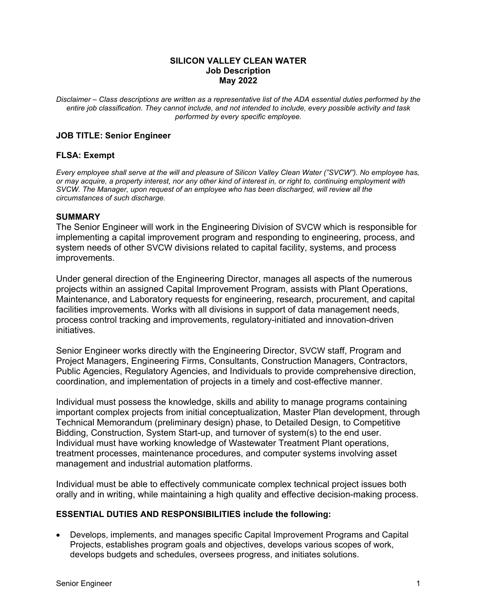### **SILICON VALLEY CLEAN WATER Job Description May 2022**

*Disclaimer – Class descriptions are written as a representative list of the ADA essential duties performed by the entire job classification. They cannot include, and not intended to include, every possible activity and task performed by every specific employee.* 

# **JOB TITLE: Senior Engineer**

# **FLSA: Exempt**

*Every employee shall serve at the will and pleasure of Silicon Valley Clean Water ("SVCW"). No employee has, or may acquire, a property interest, nor any other kind of interest in, or right to, continuing employment with SVCW. The Manager, upon request of an employee who has been discharged, will review all the circumstances of such discharge.*

#### **SUMMARY**

The Senior Engineer will work in the Engineering Division of SVCW which is responsible for implementing a capital improvement program and responding to engineering, process, and system needs of other SVCW divisions related to capital facility, systems, and process improvements.

Under general direction of the Engineering Director, manages all aspects of the numerous projects within an assigned Capital Improvement Program, assists with Plant Operations, Maintenance, and Laboratory requests for engineering, research, procurement, and capital facilities improvements. Works with all divisions in support of data management needs, process control tracking and improvements, regulatory-initiated and innovation-driven initiatives.

Senior Engineer works directly with the Engineering Director, SVCW staff, Program and Project Managers, Engineering Firms, Consultants, Construction Managers, Contractors, Public Agencies, Regulatory Agencies, and Individuals to provide comprehensive direction, coordination, and implementation of projects in a timely and cost-effective manner.

Individual must possess the knowledge, skills and ability to manage programs containing important complex projects from initial conceptualization, Master Plan development, through Technical Memorandum (preliminary design) phase, to Detailed Design, to Competitive Bidding, Construction, System Start-up, and turnover of system(s) to the end user. Individual must have working knowledge of Wastewater Treatment Plant operations, treatment processes, maintenance procedures, and computer systems involving asset management and industrial automation platforms.

Individual must be able to effectively communicate complex technical project issues both orally and in writing, while maintaining a high quality and effective decision-making process.

### **ESSENTIAL DUTIES AND RESPONSIBILITIES include the following:**

 Develops, implements, and manages specific Capital Improvement Programs and Capital Projects, establishes program goals and objectives, develops various scopes of work, develops budgets and schedules, oversees progress, and initiates solutions.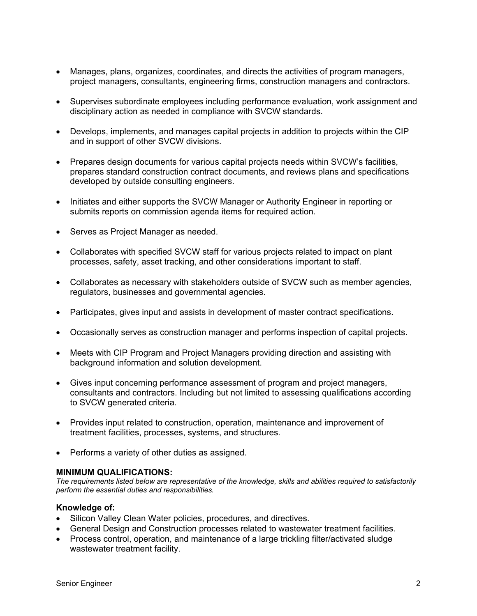- Manages, plans, organizes, coordinates, and directs the activities of program managers, project managers, consultants, engineering firms, construction managers and contractors.
- Supervises subordinate employees including performance evaluation, work assignment and disciplinary action as needed in compliance with SVCW standards.
- Develops, implements, and manages capital projects in addition to projects within the CIP and in support of other SVCW divisions.
- Prepares design documents for various capital projects needs within SVCW's facilities, prepares standard construction contract documents, and reviews plans and specifications developed by outside consulting engineers.
- Initiates and either supports the SVCW Manager or Authority Engineer in reporting or submits reports on commission agenda items for required action.
- Serves as Project Manager as needed.
- Collaborates with specified SVCW staff for various projects related to impact on plant processes, safety, asset tracking, and other considerations important to staff.
- Collaborates as necessary with stakeholders outside of SVCW such as member agencies, regulators, businesses and governmental agencies.
- Participates, gives input and assists in development of master contract specifications.
- Occasionally serves as construction manager and performs inspection of capital projects.
- Meets with CIP Program and Project Managers providing direction and assisting with background information and solution development.
- Gives input concerning performance assessment of program and project managers, consultants and contractors. Including but not limited to assessing qualifications according to SVCW generated criteria.
- Provides input related to construction, operation, maintenance and improvement of treatment facilities, processes, systems, and structures.
- Performs a variety of other duties as assigned.

### **MINIMUM QUALIFICATIONS:**

*The requirements listed below are representative of the knowledge, skills and abilities required to satisfactorily perform the essential duties and responsibilities.* 

### **Knowledge of:**

- Silicon Valley Clean Water policies, procedures, and directives.
- General Design and Construction processes related to wastewater treatment facilities.
- Process control, operation, and maintenance of a large trickling filter/activated sludge wastewater treatment facility.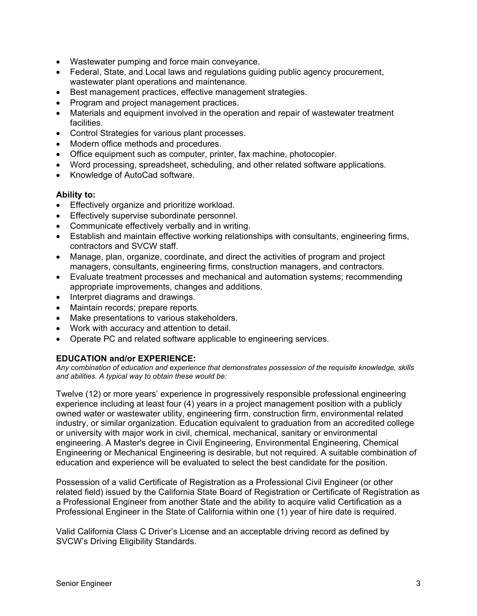- Wastewater pumping and force main conveyance.
- Federal, State, and Local laws and regulations guiding public agency procurement, wastewater plant operations and maintenance.
- Best management practices, effective management strategies.
- Program and project management practices.
- Materials and equipment involved in the operation and repair of wastewater treatment facilities.
- Control Strategies for various plant processes.
- Modern office methods and procedures.
- Office equipment such as computer, printer, fax machine, photocopier.
- Word processing, spreadsheet, scheduling, and other related software applications.
- Knowledge of AutoCad software.

### **Ability to:**

- Effectively organize and prioritize workload.
- **Effectively supervise subordinate personnel.**
- Communicate effectively verbally and in writing.
- Establish and maintain effective working relationships with consultants, engineering firms, contractors and SVCW staff.
- Manage, plan, organize, coordinate, and direct the activities of program and project managers, consultants, engineering firms, construction managers, and contractors.
- Evaluate treatment processes and mechanical and automation systems; recommending appropriate improvements, changes and additions.
- Interpret diagrams and drawings.
- Maintain records; prepare reports.
- Make presentations to various stakeholders.
- Work with accuracy and attention to detail.
- Operate PC and related software applicable to engineering services.

# **EDUCATION and/or EXPERIENCE:**

*Any combination of education and experience that demonstrates possession of the requisite knowledge, skills and abilities. A typical way to obtain these would be:* 

Twelve (12) or more years' experience in progressively responsible professional engineering experience including at least four (4) years in a project management position with a publicly owned water or wastewater utility, engineering firm, construction firm, environmental related industry, or similar organization. Education equivalent to graduation from an accredited college or university with major work in civil, chemical, mechanical, sanitary or environmental engineering. A Master's degree in Civil Engineering, Environmental Engineering, Chemical Engineering or Mechanical Engineering is desirable, but not required. A suitable combination of education and experience will be evaluated to select the best candidate for the position.

Possession of a valid Certificate of Registration as a Professional Civil Engineer (or other related field) issued by the California State Board of Registration or Certificate of Registration as a Professional Engineer from another State and the ability to acquire valid Certification as a Professional Engineer in the State of California within one (1) year of hire date is required.

Valid California Class C Driver's License and an acceptable driving record as defined by SVCW's Driving Eligibility Standards.